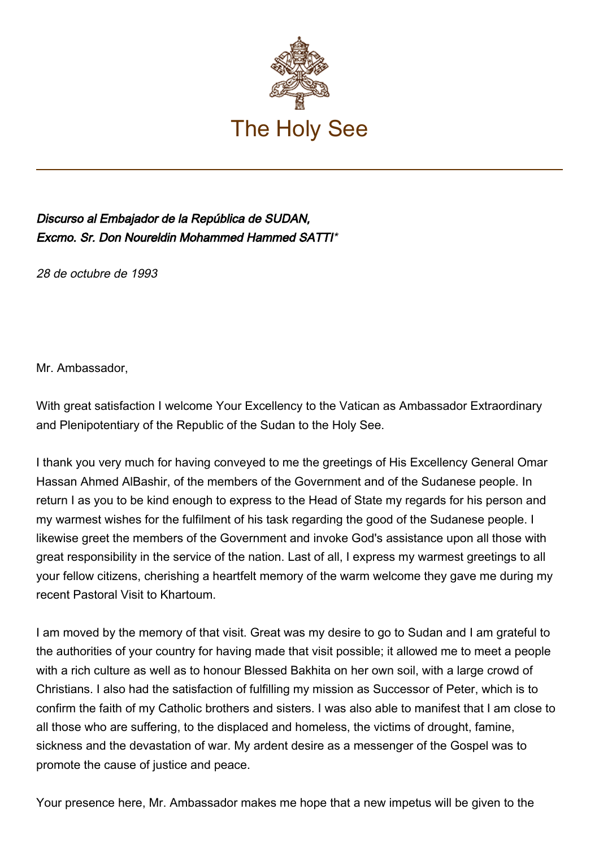

## Discurso al Embajador de la República de SUDAN, Excmo. Sr. Don Noureldin Mohammed Hammed SATTI\*

28 de octubre de 1993

Mr. Ambassador,

With great satisfaction I welcome Your Excellency to the Vatican as Ambassador Extraordinary and Plenipotentiary of the Republic of the Sudan to the Holy See.

I thank you very much for having conveyed to me the greetings of His Excellency General Omar Hassan Ahmed AlBashir, of the members of the Government and of the Sudanese people. In return I as you to be kind enough to express to the Head of State my regards for his person and my warmest wishes for the fulfilment of his task regarding the good of the Sudanese people. I likewise greet the members of the Government and invoke God's assistance upon all those with great responsibility in the service of the nation. Last of all, I express my warmest greetings to all your fellow citizens, cherishing a heartfelt memory of the warm welcome they gave me during my recent Pastoral Visit to Khartoum.

I am moved by the memory of that visit. Great was my desire to go to Sudan and I am grateful to the authorities of your country for having made that visit possible; it allowed me to meet a people with a rich culture as well as to honour Blessed Bakhita on her own soil, with a large crowd of Christians. I also had the satisfaction of fulfilling my mission as Successor of Peter, which is to confirm the faith of my Catholic brothers and sisters. I was also able to manifest that I am close to all those who are suffering, to the displaced and homeless, the victims of drought, famine, sickness and the devastation of war. My ardent desire as a messenger of the Gospel was to promote the cause of justice and peace.

Your presence here, Mr. Ambassador makes me hope that a new impetus will be given to the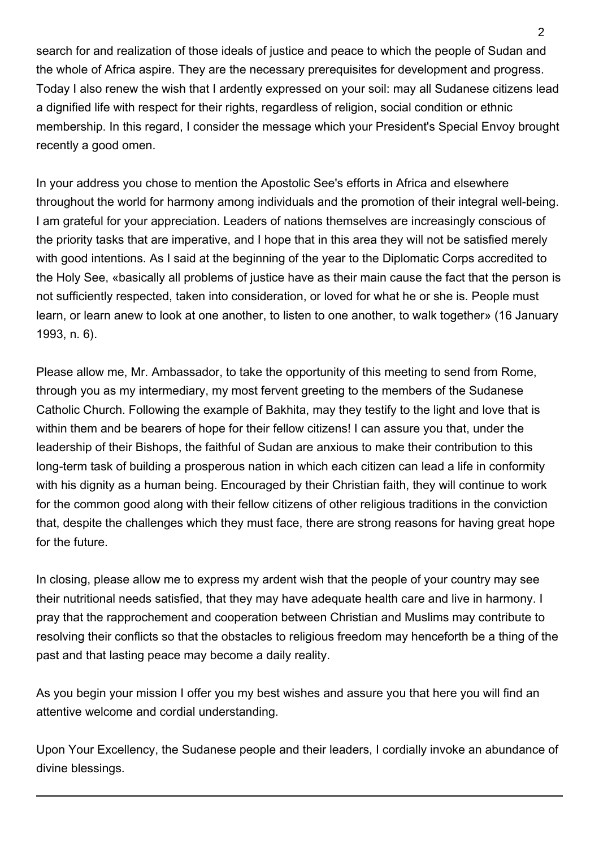search for and realization of those ideals of justice and peace to which the people of Sudan and the whole of Africa aspire. They are the necessary prerequisites for development and progress. Today I also renew the wish that I ardently expressed on your soil: may all Sudanese citizens lead a dignified life with respect for their rights, regardless of religion, social condition or ethnic membership. In this regard, I consider the message which your President's Special Envoy brought recently a good omen.

In your address you chose to mention the Apostolic See's efforts in Africa and elsewhere throughout the world for harmony among individuals and the promotion of their integral well‑being. I am grateful for your appreciation. Leaders of nations themselves are increasingly conscious of the priority tasks that are imperative, and I hope that in this area they will not be satisfied merely with good intentions. As I said at the beginning of the year to the Diplomatic Corps accredited to the Holy See, «basically all problems of justice have as their main cause the fact that the person is not sufficiently respected, taken into consideration, or loved for what he or she is. People must learn, or learn anew to look at one another, to listen to one another, to walk together» (16 January 1993, n. 6).

Please allow me, Mr. Ambassador, to take the opportunity of this meeting to send from Rome, through you as my intermediary, my most fervent greeting to the members of the Sudanese Catholic Church. Following the example of Bakhita, may they testify to the light and love that is within them and be bearers of hope for their fellow citizens! I can assure you that, under the leadership of their Bishops, the faithful of Sudan are anxious to make their contribution to this long-term task of building a prosperous nation in which each citizen can lead a life in conformity with his dignity as a human being. Encouraged by their Christian faith, they will continue to work for the common good along with their fellow citizens of other religious traditions in the conviction that, despite the challenges which they must face, there are strong reasons for having great hope for the future.

In closing, please allow me to express my ardent wish that the people of your country may see their nutritional needs satisfied, that they may have adequate health care and live in harmony. I pray that the rapprochement and cooperation between Christian and Muslims may contribute to resolving their conflicts so that the obstacles to religious freedom may henceforth be a thing of the past and that lasting peace may become a daily reality.

As you begin your mission I offer you my best wishes and assure you that here you will find an attentive welcome and cordial understanding.

Upon Your Excellency, the Sudanese people and their leaders, I cordially invoke an abundance of divine blessings.